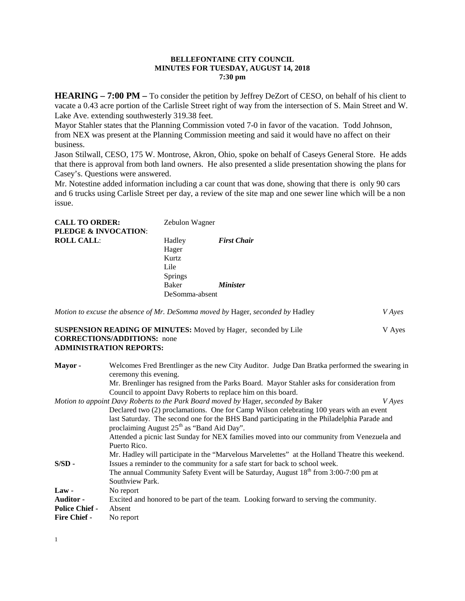### **BELLEFONTAINE CITY COUNCIL MINUTES FOR TUESDAY, AUGUST 14, 2018 7:30 pm**

**HEARING – 7:00 PM –** To consider the petition by Jeffrey DeZort of CESO, on behalf of his client to vacate a 0.43 acre portion of the Carlisle Street right of way from the intersection of S. Main Street and W. Lake Ave. extending southwesterly 319.38 feet.

Mayor Stahler states that the Planning Commission voted 7-0 in favor of the vacation. Todd Johnson, from NEX was present at the Planning Commission meeting and said it would have no affect on their business.

Jason Stilwall, CESO, 175 W. Montrose, Akron, Ohio, spoke on behalf of Caseys General Store. He adds that there is approval from both land owners. He also presented a slide presentation showing the plans for Casey's. Questions were answered.

Mr. Notestine added information including a car count that was done, showing that there is only 90 cars and 6 trucks using Carlisle Street per day, a review of the site map and one sewer line which will be a non issue.

| <b>CALL TO ORDER:</b>           | Zebulon Wagner |                        |
|---------------------------------|----------------|------------------------|
| <b>PLEDGE &amp; INVOCATION:</b> |                |                        |
| <b>ROLL CALL:</b>               | Hadley         | <b>First Chair</b>     |
|                                 | Hager          |                        |
|                                 | Kurtz          |                        |
|                                 | Lile           |                        |
|                                 | <b>Springs</b> |                        |
|                                 | <b>Baker</b>   | <i><b>Minister</b></i> |
|                                 | DeSomma-absent |                        |
|                                 |                |                        |

| Motion to excuse the absence of Mr. DeSomma moved by Hager, seconded by Hadley |  | <i>V</i> Ayes |
|--------------------------------------------------------------------------------|--|---------------|

**SUSPENSION READING OF MINUTES:** Moved by Hager, seconded by Lile V Ayes **CORRECTIONS/ADDITIONS:** none **ADMINISTRATION REPORTS:**

| Mayor-                | Welcomes Fred Brentlinger as the new City Auditor. Judge Dan Bratka performed the swearing in<br>ceremony this evening. |  |  |
|-----------------------|-------------------------------------------------------------------------------------------------------------------------|--|--|
|                       | Mr. Brenlinger has resigned from the Parks Board. Mayor Stahler asks for consideration from                             |  |  |
|                       | Council to appoint Davy Roberts to replace him on this board.                                                           |  |  |
|                       | Motion to appoint Davy Roberts to the Park Board moved by Hager, seconded by Baker<br><i>V</i> Ayes                     |  |  |
|                       | Declared two (2) proclamations. One for Camp Wilson celebrating 100 years with an event                                 |  |  |
|                       | last Saturday. The second one for the BHS Band participating in the Philadelphia Parade and                             |  |  |
|                       | proclaiming August 25 <sup>th</sup> as "Band Aid Day".                                                                  |  |  |
|                       | Attended a picnic last Sunday for NEX families moved into our community from Venezuela and                              |  |  |
|                       | Puerto Rico.                                                                                                            |  |  |
|                       | Mr. Hadley will participate in the "Marvelous Marvelettes" at the Holland Theatre this weekend.                         |  |  |
| $S/SD -$              | Issues a reminder to the community for a safe start for back to school week.                                            |  |  |
|                       | The annual Community Safety Event will be Saturday, August 18 <sup>th</sup> from 3:00-7:00 pm at                        |  |  |
|                       | Southview Park.                                                                                                         |  |  |
| $Law -$               | No report                                                                                                               |  |  |
| <b>Auditor -</b>      | Excited and honored to be part of the team. Looking forward to serving the community.                                   |  |  |
| <b>Police Chief -</b> | Absent                                                                                                                  |  |  |
| <b>Fire Chief -</b>   | No report                                                                                                               |  |  |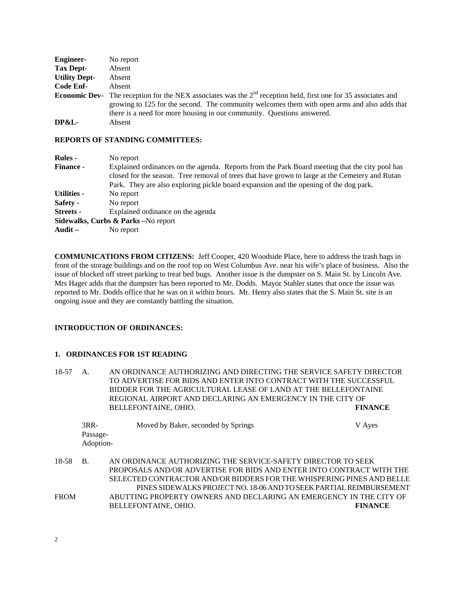| <b>Engineer-</b>     | No report                                                                                                               |
|----------------------|-------------------------------------------------------------------------------------------------------------------------|
| Tax Dept-            | Absent                                                                                                                  |
| <b>Utility Dept-</b> | Absent                                                                                                                  |
| Code Enf-            | Absent                                                                                                                  |
|                      | <b>Economic Dev-</b> The reception for the NEX associates was the $2nd$ reception held, first one for 35 associates and |
|                      | growing to 125 for the second. The community welcomes them with open arms and also adds that                            |
|                      | there is a need for more housing in our community. Questions answered.                                                  |
| DP&L-                | Absent                                                                                                                  |

#### **REPORTS OF STANDING COMMITTEES:**

| <b>Rules</b> -                                           | No report                                                                                                                                                                                         |
|----------------------------------------------------------|---------------------------------------------------------------------------------------------------------------------------------------------------------------------------------------------------|
| <b>Finance -</b>                                         | Explained ordinances on the agenda. Reports from the Park Board meeting that the city pool has<br>closed for the season. Tree removal of trees that have grown to large at the Cemetery and Rutan |
|                                                          | Park. They are also exploring pickle board expansion and the opening of the dog park.                                                                                                             |
| <b>Utilities -</b>                                       | No report                                                                                                                                                                                         |
| Safety -                                                 | No report                                                                                                                                                                                         |
| Streets -                                                | Explained ordinance on the agenda                                                                                                                                                                 |
|                                                          | Sidewalks, Curbs & Parks -No report                                                                                                                                                               |
| $\mathbf{A} \mathbf{u} \mathbf{d} \mathbf{i} \mathbf{t}$ | No report                                                                                                                                                                                         |

**COMMUNICATIONS FROM CITIZENS:** Jeff Cooper, 420 Woodside Place, here to address the trash bags in front of the storage buildings and on the roof top on West Columbus Ave. near his wife's place of business. Also the issue of blocked off street parking to treat bed bugs. Another issue is the dumpster on S. Main St. by Lincoln Ave. Mrs Hager adds that the dumpster has been reported to Mr. Dodds. Mayor Stahler states that once the issue was reported to Mr. Dodds office that he was on it within hours. Mr. Henry also states that the S. Main St. site is an ongoing issue and they are constantly battling the situation.

### **INTRODUCTION OF ORDINANCES:**

### **1. ORDINANCES FOR 1ST READING**

18-57 A. AN ORDINANCE AUTHORIZING AND DIRECTING THE SERVICE SAFETY DIRECTOR TO ADVERTISE FOR BIDS AND ENTER INTO CONTRACT WITH THE SUCCESSFUL BIDDER FOR THE AGRICULTURAL LEASE OF LAND AT THE BELLEFONTAINE REGIONAL AIRPORT AND DECLARING AN EMERGENCY IN THE CITY OF BELLEFONTAINE, OHIO. **FINANCE**

|       | $3RR-$    | Moved by Baker, seconded by Springs                                   | V Ayes         |
|-------|-----------|-----------------------------------------------------------------------|----------------|
|       | Passage-  |                                                                       |                |
|       | Adoption- |                                                                       |                |
|       |           |                                                                       |                |
| 18-58 | <b>B.</b> | AN ORDINANCE AUTHORIZING THE SERVICE-SAFETY DIRECTOR TO SEEK          |                |
|       |           | PROPOSALS AND/OR ADVERTISE FOR BIDS AND ENTER INTO CONTRACT WITH THE  |                |
|       |           | SELECTED CONTRACTOR AND/OR BIDDERS FOR THE WHISPERING PINES AND BELLE |                |
|       |           | PINES SIDEWALKS PROJECT NO. 18-06 AND TO SEEK PARTIAL REIMBURSEMENT   |                |
| FROM  |           | ABUTTING PROPERTY OWNERS AND DECLARING AN EMERGENCY IN THE CITY OF    |                |
|       |           | BELLEFONTAINE, OHIO.                                                  | <b>FINANCE</b> |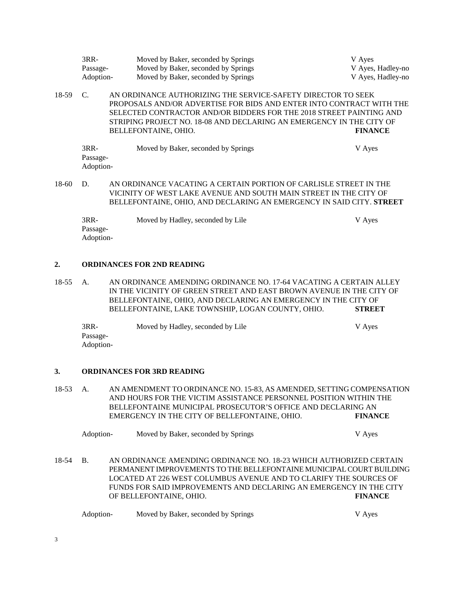|       | $3RR-$<br>Passage-<br>Adoption-                                                                                                                                                                                      | Moved by Baker, seconded by Springs<br>Moved by Baker, seconded by Springs<br>Moved by Baker, seconded by Springs                                                                                                                                                                                           | V Ayes<br>V Ayes, Hadley-no<br>V Ayes, Hadley-no |
|-------|----------------------------------------------------------------------------------------------------------------------------------------------------------------------------------------------------------------------|-------------------------------------------------------------------------------------------------------------------------------------------------------------------------------------------------------------------------------------------------------------------------------------------------------------|--------------------------------------------------|
| 18-59 | C.                                                                                                                                                                                                                   | AN ORDINANCE AUTHORIZING THE SERVICE-SAFETY DIRECTOR TO SEEK<br>PROPOSALS AND/OR ADVERTISE FOR BIDS AND ENTER INTO CONTRACT WITH THE<br>SELECTED CONTRACTOR AND/OR BIDDERS FOR THE 2018 STREET PAINTING AND<br>STRIPING PROJECT NO. 18-08 AND DECLARING AN EMERGENCY IN THE CITY OF<br>BELLEFONTAINE, OHIO. | <b>FINANCE</b>                                   |
|       | $3RR-$<br>Passage-<br>Adoption-                                                                                                                                                                                      | Moved by Baker, seconded by Springs                                                                                                                                                                                                                                                                         | V Ayes                                           |
| 18-60 | AN ORDINANCE VACATING A CERTAIN PORTION OF CARLISLE STREET IN THE<br>D.<br>VICINITY OF WEST LAKE AVENUE AND SOUTH MAIN STREET IN THE CITY OF<br>BELLEFONTAINE, OHIO, AND DECLARING AN EMERGENCY IN SAID CITY. STREET |                                                                                                                                                                                                                                                                                                             |                                                  |

3RR- Moved by Hadley, seconded by Lile V Ayes Passage-Adoption-

#### **2. ORDINANCES FOR 2ND READING**

18-55 A. AN ORDINANCE AMENDING ORDINANCE NO. 17-64 VACATING A CERTAIN ALLEY IN THE VICINITY OF GREEN STREET AND EAST BROWN AVENUE IN THE CITY OF BELLEFONTAINE, OHIO, AND DECLARING AN EMERGENCY IN THE CITY OF BELLEFONTAINE, LAKE TOWNSHIP, LOGAN COUNTY, OHIO. **STREET**

| 3RR-      | Moved by Hadley, seconded by Lile | V Ayes |
|-----------|-----------------------------------|--------|
| Passage-  |                                   |        |
| Adoption- |                                   |        |

## **3. ORDINANCES FOR 3RD READING**

18-53 A. AN AMENDMENT TO ORDINANCE NO. 15-83, AS AMENDED, SETTING COMPENSATION AND HOURS FOR THE VICTIM ASSISTANCE PERSONNEL POSITION WITHIN THE BELLEFONTAINE MUNICIPAL PROSECUTOR'S OFFICE AND DECLARING AN EMERGENCY IN THE CITY OF BELLEFONTAINE, OHIO. **FINANCE**

| Adoption- | Moved by Baker, seconded by Springs | V Aves |
|-----------|-------------------------------------|--------|
|-----------|-------------------------------------|--------|

18-54 B. AN ORDINANCE AMENDING ORDINANCE NO. 18-23 WHICH AUTHORIZED CERTAIN PERMANENT IMPROVEMENTS TO THE BELLEFONTAINE MUNICIPAL COURT BUILDING LOCATED AT 226 WEST COLUMBUS AVENUE AND TO CLARIFY THE SOURCES OF FUNDS FOR SAID IMPROVEMENTS AND DECLARING AN EMERGENCY IN THE CITY OF BELLEFONTAINE, OHIO. **FINANCE**

| Adoption- | Moved by Baker, seconded by Springs | V Aves |
|-----------|-------------------------------------|--------|
|-----------|-------------------------------------|--------|